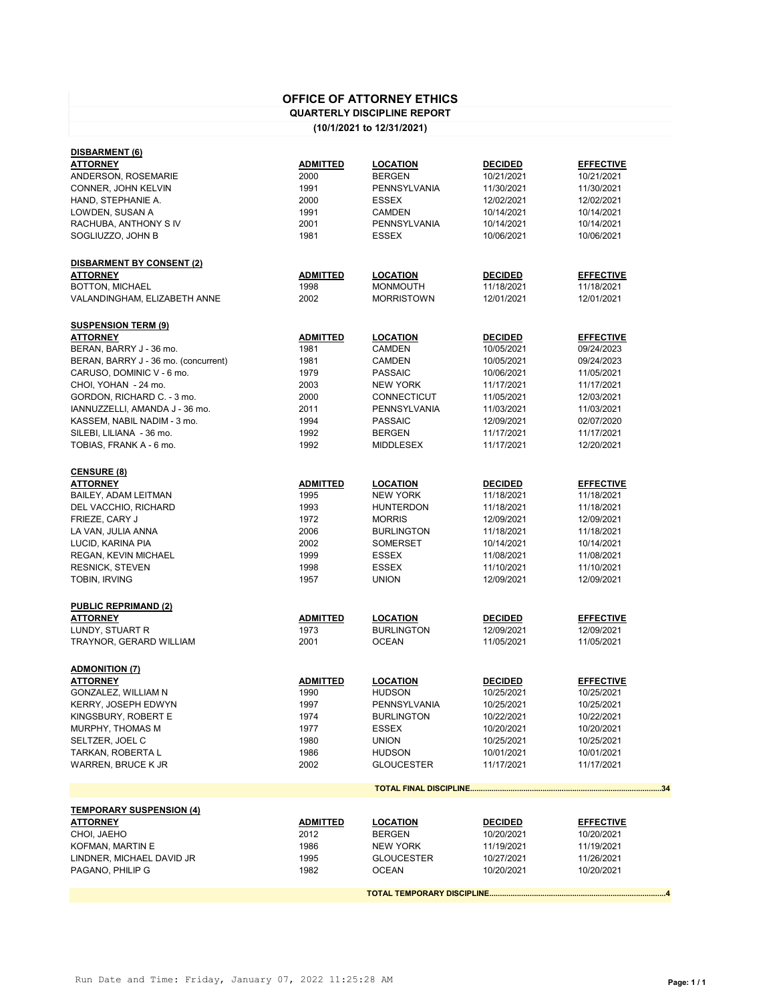## **OFFICE OF ATTORNEY ETHICS**

## **QUARTERLY DISCIPLINE REPORT**

## **(10/1/2021 to 12/31/2021)**

| <b>DISBARMENT (6)</b>                |                 |                    |                |                  |
|--------------------------------------|-----------------|--------------------|----------------|------------------|
| <b>ATTORNEY</b>                      | ADMITTED        | <b>LOCATION</b>    | <b>DECIDED</b> | <b>EFFECTIVE</b> |
| ANDERSON, ROSEMARIE                  | 2000            | <b>BERGEN</b>      | 10/21/2021     | 10/21/2021       |
| CONNER, JOHN KELVIN                  | 1991            | PENNSYLVANIA       | 11/30/2021     | 11/30/2021       |
| HAND, STEPHANIE A.                   | 2000            | <b>ESSEX</b>       | 12/02/2021     | 12/02/2021       |
| LOWDEN, SUSAN A                      | 1991            | <b>CAMDEN</b>      | 10/14/2021     | 10/14/2021       |
| RACHUBA, ANTHONY S IV                | 2001            | PENNSYLVANIA       | 10/14/2021     | 10/14/2021       |
| SOGLIUZZO, JOHN B                    | 1981            | <b>ESSEX</b>       | 10/06/2021     | 10/06/2021       |
|                                      |                 |                    |                |                  |
| DISBARMENT BY CONSENT (2)            |                 |                    |                |                  |
| <b>ATTORNEY</b>                      | <b>ADMITTED</b> | <b>LOCATION</b>    | <b>DECIDED</b> | <b>EFFECTIVE</b> |
| BOTTON, MICHAEL                      | 1998            | <b>MONMOUTH</b>    | 11/18/2021     | 11/18/2021       |
| VALANDINGHAM, ELIZABETH ANNE         | 2002            | <b>MORRISTOWN</b>  | 12/01/2021     | 12/01/2021       |
|                                      |                 |                    |                |                  |
| <b>SUSPENSION TERM (9)</b>           |                 |                    |                |                  |
| <b>ATTORNEY</b>                      | <b>ADMITTED</b> | <b>LOCATION</b>    | <b>DECIDED</b> | <b>EFFECTIVE</b> |
| BERAN, BARRY J - 36 mo.              | 1981            | <b>CAMDEN</b>      | 10/05/2021     | 09/24/2023       |
| BERAN, BARRY J - 36 mo. (concurrent) | 1981            | <b>CAMDEN</b>      | 10/05/2021     | 09/24/2023       |
| CARUSO, DOMINIC V - 6 mo.            | 1979            | <b>PASSAIC</b>     | 10/06/2021     | 11/05/2021       |
| CHOI, YOHAN - 24 mo.                 | 2003            | <b>NEW YORK</b>    | 11/17/2021     | 11/17/2021       |
| GORDON, RICHARD C. - 3 mo.           | 2000            | <b>CONNECTICUT</b> | 11/05/2021     | 12/03/2021       |
| IANNUZZELLI, AMANDA J - 36 mo.       | 2011            | PENNSYLVANIA       | 11/03/2021     | 11/03/2021       |
| KASSEM, NABIL NADIM - 3 mo.          | 1994            | <b>PASSAIC</b>     | 12/09/2021     | 02/07/2020       |
|                                      |                 |                    |                |                  |
| SILEBI, LILIANA - 36 mo.             | 1992            | <b>BERGEN</b>      | 11/17/2021     | 11/17/2021       |
| TOBIAS, FRANK A - 6 mo.              | 1992            | <b>MIDDLESEX</b>   | 11/17/2021     | 12/20/2021       |
|                                      |                 |                    |                |                  |
| <b>CENSURE (8)</b>                   |                 |                    |                |                  |
| <b>ATTORNEY</b>                      | ADMITTED        | <b>LOCATION</b>    | <b>DECIDED</b> | <b>EFFECTIVE</b> |
| BAILEY, ADAM LEITMAN                 | 1995            | <b>NEW YORK</b>    | 11/18/2021     | 11/18/2021       |
| DEL VACCHIO, RICHARD                 | 1993            | <b>HUNTERDON</b>   | 11/18/2021     | 11/18/2021       |
| FRIEZE, CARY J                       | 1972            | <b>MORRIS</b>      | 12/09/2021     | 12/09/2021       |
| LA VAN, JULIA ANNA                   | 2006            | <b>BURLINGTON</b>  | 11/18/2021     | 11/18/2021       |
| LUCID, KARINA PIA                    | 2002            | SOMERSET           | 10/14/2021     | 10/14/2021       |
| REGAN, KEVIN MICHAEL                 | 1999            | <b>ESSEX</b>       | 11/08/2021     | 11/08/2021       |
| <b>RESNICK, STEVEN</b>               | 1998            | <b>ESSEX</b>       | 11/10/2021     | 11/10/2021       |
| <b>TOBIN, IRVING</b>                 | 1957            | <b>UNION</b>       | 12/09/2021     | 12/09/2021       |
|                                      |                 |                    |                |                  |
| <b>PUBLIC REPRIMAND (2)</b>          |                 |                    |                |                  |
| <b>ATTORNEY</b>                      | <b>ADMITTED</b> | <b>LOCATION</b>    | <b>DECIDED</b> | <b>EFFECTIVE</b> |
| LUNDY, STUART R                      | 1973            | <b>BURLINGTON</b>  | 12/09/2021     | 12/09/2021       |
| TRAYNOR, GERARD WILLIAM              | 2001            | <b>OCEAN</b>       | 11/05/2021     | 11/05/2021       |
|                                      |                 |                    |                |                  |
| <b>ADMONITION (7)</b>                |                 |                    |                |                  |
| <b>ATTORNEY</b>                      | ADMITTED        | <b>LOCATION</b>    | <b>DECIDED</b> | <b>EFFECTIVE</b> |
| GONZALEZ, WILLIAM N                  | 1990            | <b>HUDSON</b>      | 10/25/2021     | 10/25/2021       |
| <b>KERRY, JOSEPH EDWYN</b>           | 1997            | PENNSYLVANIA       | 10/25/2021     | 10/25/2021       |
| KINGSBURY, ROBERT E                  | 1974            | <b>BURLINGTON</b>  | 10/22/2021     | 10/22/2021       |
| MURPHY, THOMAS M                     | 1977            | ESSEX              | 10/20/2021     | 10/20/2021       |
| SELTZER, JOEL C                      | 1980            | <b>UNION</b>       | 10/25/2021     | 10/25/2021       |
| TARKAN, ROBERTA L                    | 1986            | <b>HUDSON</b>      | 10/01/2021     | 10/01/2021       |
| WARREN, BRUCE K JR                   | 2002            | <b>GLOUCESTER</b>  | 11/17/2021     | 11/17/2021       |
|                                      |                 |                    |                |                  |
|                                      |                 |                    |                | 34               |
| <b>TEMPORARY SUSPENSION (4)</b>      |                 |                    |                |                  |
| <b>ATTORNEY</b>                      | <b>ADMITTED</b> | <b>LOCATION</b>    | <b>DECIDED</b> | <b>EFFECTIVE</b> |
| CHOI, JAEHO                          | 2012            | <b>BERGEN</b>      | 10/20/2021     | 10/20/2021       |
| KOFMAN, MARTIN E                     | 1986            | <b>NEW YORK</b>    | 11/19/2021     | 11/19/2021       |
| LINDNER, MICHAEL DAVID JR            | 1995            | <b>GLOUCESTER</b>  | 10/27/2021     | 11/26/2021       |
| PAGANO, PHILIP G                     | 1982            | <b>OCEAN</b>       | 10/20/2021     | 10/20/2021       |
|                                      |                 |                    |                |                  |
|                                      |                 |                    |                |                  |